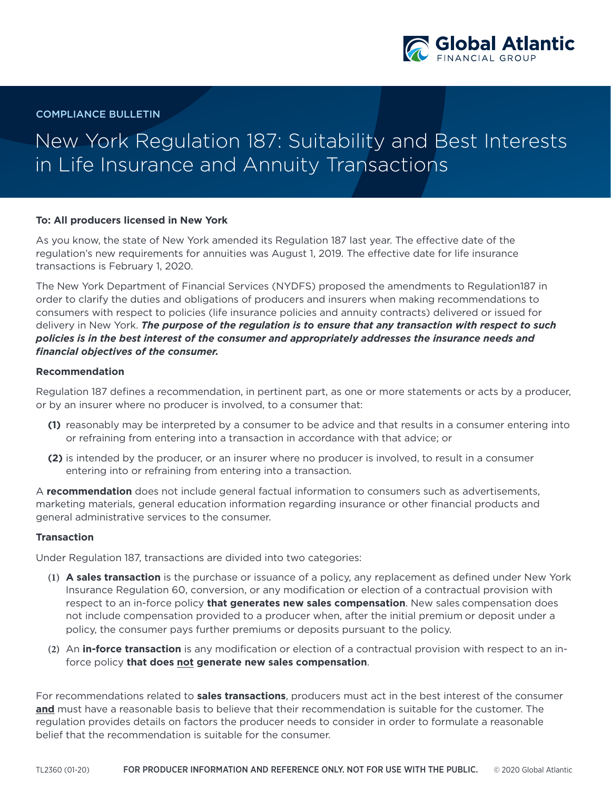

COMPLIANCE BULLETIN

## New York Regulation 187: Suitability and Best Interests in Life Insurance and Annuity Transactions

## **To: All producers licensed in New York**

As you know, the state of New York amended its Regulation 187 last year. The effective date of the regulation's new requirements for annuities was August 1, 2019. The effective date for life insurance transactions is February 1, 2020.

The New York Department of Financial Services (NYDFS) proposed the amendments to Regulation187 in order to clarify the duties and obligations of producers and insurers when making recommendations to consumers with respect to policies (life insurance policies and annuity contracts) delivered or issued for delivery in New York. *The purpose of the regulation is to ensure that any transaction with respect to such policies is in the best interest of the consumer and appropriately addresses the insurance needs and financial objectives of the consumer.*

## **Recommendation**

Regulation 187 defines a recommendation, in pertinent part, as one or more statements or acts by a producer, or by an insurer where no producer is involved, to a consumer that:

- **(1)** reasonably may be interpreted by a consumer to be advice and that results in a consumer entering into or refraining from entering into a transaction in accordance with that advice; or
- **(2)** is intended by the producer, or an insurer where no producer is involved, to result in a consumer entering into or refraining from entering into a transaction.

A **recommendation** does not include general factual information to consumers such as advertisements, marketing materials, general education information regarding insurance or other financial products and general administrative services to the consumer.

## **Transaction**

Under Regulation 187, transactions are divided into two categories:

- **(1) A sales transaction** is the purchase or issuance of a policy, any replacement as defined under New York Insurance Regulation 60, conversion, or any modification or election of a contractual provision with respect to an in-force policy **that generates new sales compensation**. New sales compensation does not include compensation provided to a producer when, after the initial premium or deposit under a policy, the consumer pays further premiums or deposits pursuant to the policy.
- **(2)** An **in-force transaction** is any modification or election of a contractual provision with respect to an inforce policy **that does not generate new sales compensation**.

For recommendations related to **sales transactions**, producers must act in the best interest of the consumer **and** must have a reasonable basis to believe that their recommendation is suitable for the customer. The regulation provides details on factors the producer needs to consider in order to formulate a reasonable belief that the recommendation is suitable for the consumer.